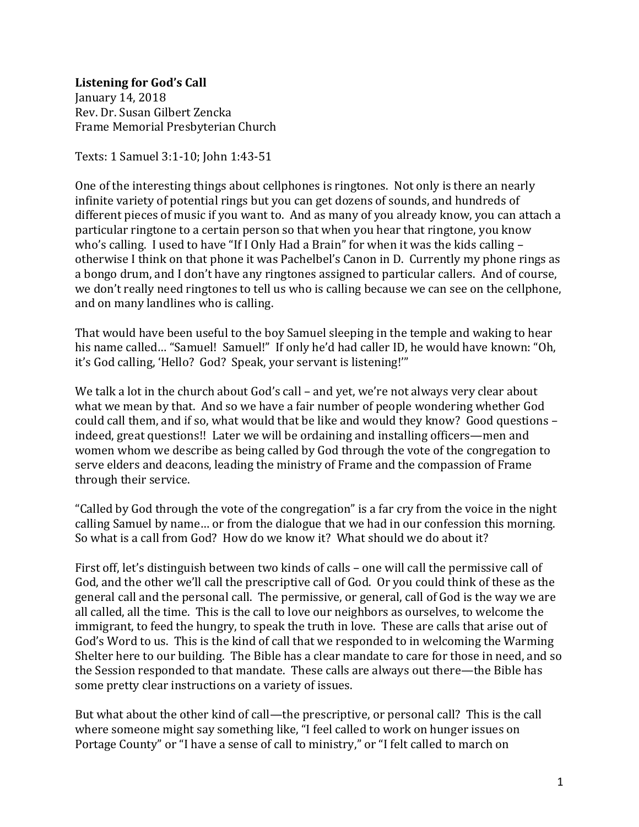## **Listening for God's Call** January 14, 2018

Rev. Dr. Susan Gilbert Zencka Frame Memorial Presbyterian Church

Texts: 1 Samuel 3:1-10; John 1:43-51

One of the interesting things about cellphones is ringtones. Not only is there an nearly infinite variety of potential rings but you can get dozens of sounds, and hundreds of different pieces of music if you want to. And as many of you already know, you can attach a particular ringtone to a certain person so that when you hear that ringtone, you know who's calling. I used to have "If I Only Had a Brain" for when it was the kids calling – otherwise I think on that phone it was Pachelbel's Canon in D. Currently my phone rings as a bongo drum, and I don't have any ringtones assigned to particular callers. And of course, we don't really need ringtones to tell us who is calling because we can see on the cellphone, and on many landlines who is calling.

That would have been useful to the boy Samuel sleeping in the temple and waking to hear his name called... "Samuel! Samuel!" If only he'd had caller ID, he would have known: "Oh, it's God calling, 'Hello? God? Speak, your servant is listening!'"

We talk a lot in the church about God's call – and yet, we're not always very clear about what we mean by that. And so we have a fair number of people wondering whether God could call them, and if so, what would that be like and would they know? Good questions – indeed, great questions!! Later we will be ordaining and installing officers—men and women whom we describe as being called by God through the vote of the congregation to serve elders and deacons, leading the ministry of Frame and the compassion of Frame through their service.

"Called by God through the vote of the congregation" is a far cry from the voice in the night calling Samuel by name… or from the dialogue that we had in our confession this morning. So what is a call from God? How do we know it? What should we do about it?

First off, let's distinguish between two kinds of calls – one will call the permissive call of God, and the other we'll call the prescriptive call of God. Or you could think of these as the general call and the personal call. The permissive, or general, call of God is the way we are all called, all the time. This is the call to love our neighbors as ourselves, to welcome the immigrant, to feed the hungry, to speak the truth in love. These are calls that arise out of God's Word to us. This is the kind of call that we responded to in welcoming the Warming Shelter here to our building. The Bible has a clear mandate to care for those in need, and so the Session responded to that mandate. These calls are always out there—the Bible has some pretty clear instructions on a variety of issues.

But what about the other kind of call—the prescriptive, or personal call? This is the call where someone might say something like, "I feel called to work on hunger issues on Portage County" or "I have a sense of call to ministry," or "I felt called to march on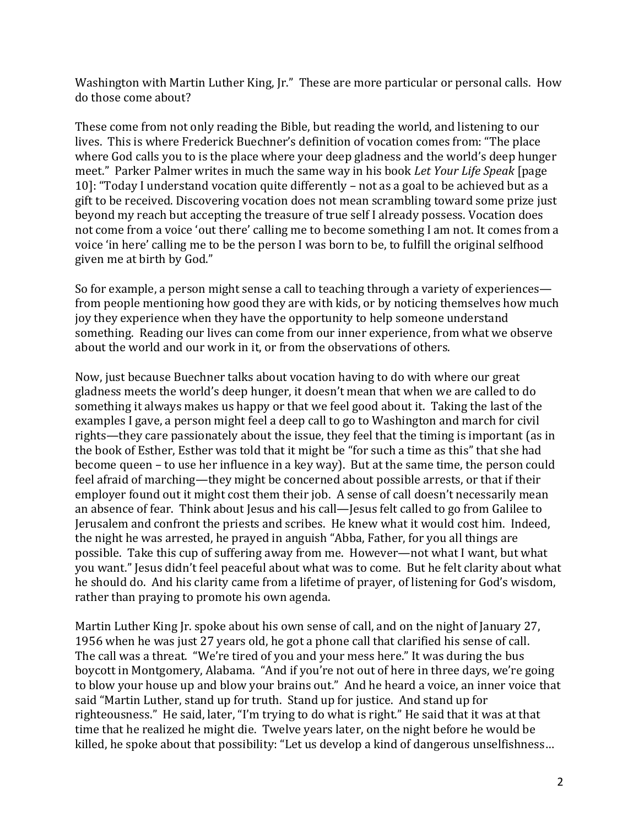Washington with Martin Luther King, Jr." These are more particular or personal calls. How do those come about?

These come from not only reading the Bible, but reading the world, and listening to our lives. This is where Frederick Buechner's definition of vocation comes from: "The place where God calls you to is the place where your deep gladness and the world's deep hunger meet." Parker Palmer writes in much the same way in his book *Let Your Life Speak* [page 10]: "Today I understand vocation quite differently – not as a goal to be achieved but as a gift to be received. Discovering vocation does not mean scrambling toward some prize just beyond my reach but accepting the treasure of true self I already possess. Vocation does not come from a voice 'out there' calling me to become something I am not. It comes from a voice 'in here' calling me to be the person I was born to be, to fulfill the original selfhood given me at birth by God."

So for example, a person might sense a call to teaching through a variety of experiences from people mentioning how good they are with kids, or by noticing themselves how much joy they experience when they have the opportunity to help someone understand something. Reading our lives can come from our inner experience, from what we observe about the world and our work in it, or from the observations of others.

Now, just because Buechner talks about vocation having to do with where our great gladness meets the world's deep hunger, it doesn't mean that when we are called to do something it always makes us happy or that we feel good about it. Taking the last of the examples I gave, a person might feel a deep call to go to Washington and march for civil rights—they care passionately about the issue, they feel that the timing is important (as in the book of Esther, Esther was told that it might be "for such a time as this" that she had become queen – to use her influence in a key way). But at the same time, the person could feel afraid of marching—they might be concerned about possible arrests, or that if their employer found out it might cost them their job. A sense of call doesn't necessarily mean an absence of fear. Think about Jesus and his call—Jesus felt called to go from Galilee to Jerusalem and confront the priests and scribes. He knew what it would cost him. Indeed, the night he was arrested, he prayed in anguish "Abba, Father, for you all things are possible. Take this cup of suffering away from me. However—not what I want, but what you want." Jesus didn't feel peaceful about what was to come. But he felt clarity about what he should do. And his clarity came from a lifetime of prayer, of listening for God's wisdom, rather than praying to promote his own agenda.

Martin Luther King Jr. spoke about his own sense of call, and on the night of January 27, 1956 when he was just 27 years old, he got a phone call that clarified his sense of call. The call was a threat. "We're tired of you and your mess here." It was during the bus boycott in Montgomery, Alabama. "And if you're not out of here in three days, we're going to blow your house up and blow your brains out." And he heard a voice, an inner voice that said "Martin Luther, stand up for truth. Stand up for justice. And stand up for righteousness." He said, later, "I'm trying to do what is right." He said that it was at that time that he realized he might die. Twelve years later, on the night before he would be killed, he spoke about that possibility: "Let us develop a kind of dangerous unselfishness…